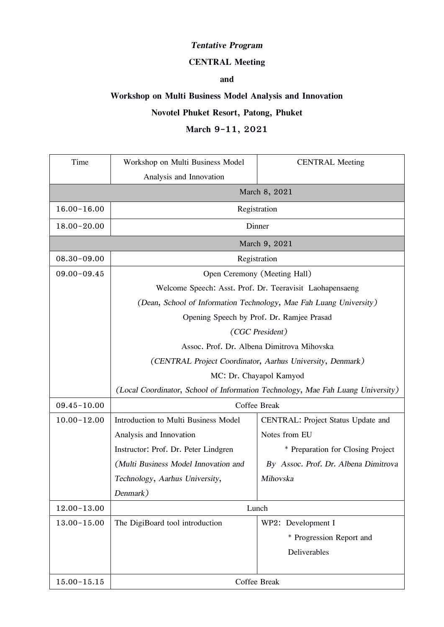## *Tentative Program*

#### **CENTRAL Meeting**

## **and**

## **Workshop on Multi Business Model Analysis and Innovation**

# **Novotel Phuket Resort, Patong, Phuket**

## **March 9-11, 2021**

| Time            | Workshop on Multi Business Model                                                | <b>CENTRAL Meeting</b>               |  |
|-----------------|---------------------------------------------------------------------------------|--------------------------------------|--|
|                 | Analysis and Innovation<br>March 8, 2021                                        |                                      |  |
| 16.00-16.00     | Registration                                                                    |                                      |  |
| 18.00-20.00     | Dinner                                                                          |                                      |  |
| March 9, 2021   |                                                                                 |                                      |  |
| $08.30 - 09.00$ | Registration                                                                    |                                      |  |
| $09.00 - 09.45$ | Open Ceremony (Meeting Hall)                                                    |                                      |  |
|                 | Welcome Speech: Asst. Prof. Dr. Teeravisit Laohapensaeng                        |                                      |  |
|                 | (Dean, School of Information Technology, Mae Fah Luang University)              |                                      |  |
|                 | Opening Speech by Prof. Dr. Ramjee Prasad                                       |                                      |  |
|                 | (CGC President)                                                                 |                                      |  |
|                 | Assoc. Prof. Dr. Albena Dimitrova Mihovska                                      |                                      |  |
|                 | (CENTRAL Project Coordinator, Aarhus University, Denmark)                       |                                      |  |
|                 | MC: Dr. Chayapol Kamyod                                                         |                                      |  |
|                 | (Local Coordinator, School of Information Technology, Mae Fah Luang University) |                                      |  |
| $09.45 - 10.00$ | Coffee Break                                                                    |                                      |  |
| $10.00 - 12.00$ | Introduction to Multi Business Model                                            | CENTRAL: Project Status Update and   |  |
|                 | Analysis and Innovation                                                         | Notes from EU                        |  |
|                 | Instructor: Prof. Dr. Peter Lindgren                                            | * Preparation for Closing Project    |  |
|                 | (Multi Business Model Innovation and                                            | By Assoc. Prof. Dr. Albena Dimitrova |  |
|                 | Technology, Aarhus University,                                                  | Mihovska                             |  |
|                 | Denmark)                                                                        |                                      |  |
| $12.00 - 13.00$ | Lunch                                                                           |                                      |  |
| $13.00 - 15.00$ | The DigiBoard tool introduction                                                 | WP2: Development I                   |  |
|                 |                                                                                 | * Progression Report and             |  |
|                 |                                                                                 | Deliverables                         |  |
| $15.00 - 15.15$ | Coffee Break                                                                    |                                      |  |